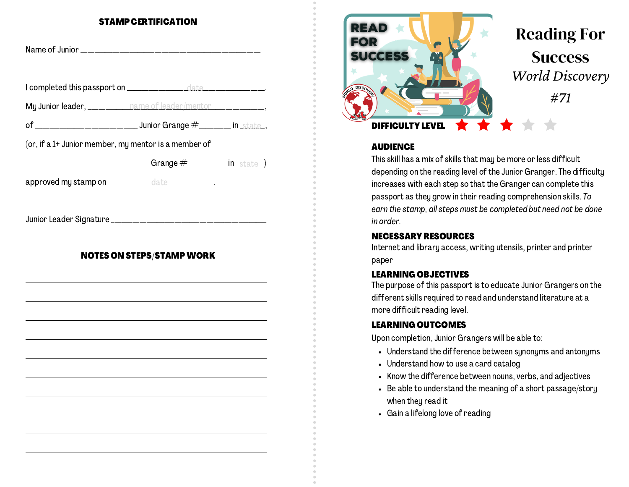## STAMP CERTIFICATION

|                                  |                                                                                                                      |  | <b>SUCCE</b>                |
|----------------------------------|----------------------------------------------------------------------------------------------------------------------|--|-----------------------------|
|                                  |                                                                                                                      |  | <b>D</b> DISCO <sub>L</sub> |
|                                  | My Junior leader, ___________ name of leader/mentor _______________,                                                 |  |                             |
|                                  |                                                                                                                      |  | <b>DIFFI</b>                |
|                                  | (or, if a 1+ Junior member, my mentor is a member of                                                                 |  | <b>AUDI</b>                 |
|                                  | <b>__________________________________Grange</b> #__________ in _state_)                                              |  | This sk                     |
|                                  |                                                                                                                      |  | depen                       |
|                                  | approved my stamp on _____________ date ____________.                                                                |  | increa                      |
|                                  |                                                                                                                      |  | passp<br>earn ti            |
|                                  |                                                                                                                      |  | in orde                     |
|                                  |                                                                                                                      |  | <b>NECE</b>                 |
|                                  |                                                                                                                      |  | Intern                      |
| <b>NOTES ON STEPS/STAMP WORK</b> | paper                                                                                                                |  |                             |
|                                  |                                                                                                                      |  | <b>LEAR</b>                 |
|                                  | <u> 1989 - Johann John Stone, market fan it fjort fan de ferstjer fan it fjort fan de ferstjer fan de ferstjer f</u> |  | The pu                      |
|                                  |                                                                                                                      |  | differ                      |
|                                  |                                                                                                                      |  | more o                      |
|                                  | <u> 1989 - Johann John Stone, Amerikaansk politiker (d. 1989)</u>                                                    |  | <b>LEAR</b>                 |
|                                  |                                                                                                                      |  | Upon o                      |
|                                  |                                                                                                                      |  | • Ur                        |
|                                  |                                                                                                                      |  | U                           |
|                                  |                                                                                                                      |  | • Kr                        |
|                                  |                                                                                                                      |  | • B6                        |
|                                  |                                                                                                                      |  | W                           |
|                                  |                                                                                                                      |  | G                           |
|                                  |                                                                                                                      |  |                             |
|                                  |                                                                                                                      |  |                             |
|                                  |                                                                                                                      |  |                             |



# Reading For **Success** *World Discovery #71*

#### **AUDIENCE**

This skill has a mix of skills that may be more or less difficult depending on the reading level of the Junior Granger. The difficulty increases with each step so that the Granger can complete this passport as they grow in their reading comprehension skills. To earn the stamp, all steps must be completed but need not be done in order.

## NECESSARY RESOURCES

Internet and library access, writing utensils, printer and printer

## LEARNING OBJECTIVES

The purpose of this passport is to educate Junior Grangers on the different skills required to read and understand literature at a more difficult reading level.

#### LEARNING OUTCOMES

Upon completion, Junior Grangers will be able to:

- Understand the difference between synonyms and antonyms
- Understand how to use a card catalog
- Know the difference between nouns, verbs, and adjectives
- Be able to understand the meaning of a short passage/story when they read it
- Gain a lifelong love of reading